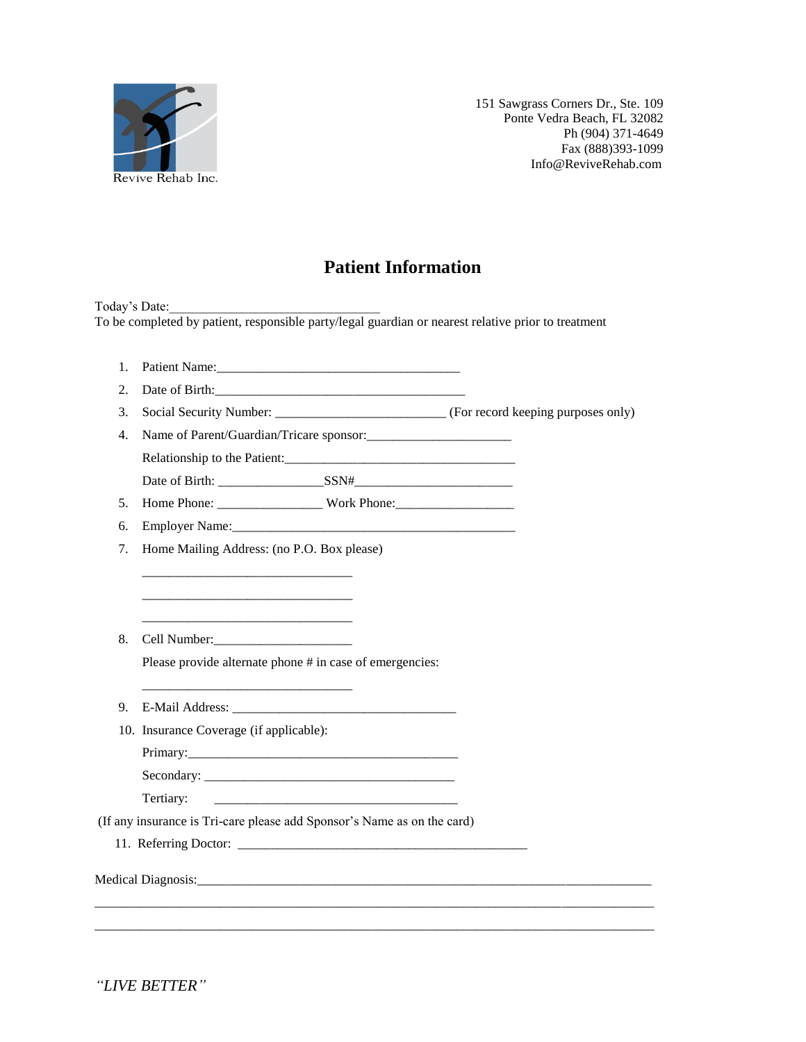

## **Patient Information**

Today's Date: To be completed by patient, responsible party/legal guardian or nearest relative prior to treatment

| 1. |                                                                                                                                   |
|----|-----------------------------------------------------------------------------------------------------------------------------------|
| 2. |                                                                                                                                   |
| 3. |                                                                                                                                   |
| 4. | Name of Parent/Guardian/Tricare sponsor:                                                                                          |
|    |                                                                                                                                   |
|    |                                                                                                                                   |
| 5. |                                                                                                                                   |
| 6. |                                                                                                                                   |
| 7. | Home Mailing Address: (no P.O. Box please)                                                                                        |
|    |                                                                                                                                   |
|    |                                                                                                                                   |
|    |                                                                                                                                   |
| 8. | Cell Number:<br><u> </u>                                                                                                          |
|    | Please provide alternate phone # in case of emergencies:                                                                          |
|    |                                                                                                                                   |
| 9. |                                                                                                                                   |
|    | 10. Insurance Coverage (if applicable):                                                                                           |
|    |                                                                                                                                   |
|    |                                                                                                                                   |
|    | Tertiary:<br><u> 1980 - Johann Barn, mars eta bainar eta bainar eta baina eta baina eta baina eta baina eta baina eta baina e</u> |
|    | (If any insurance is Tri-care please add Sponsor's Name as on the card)                                                           |
|    |                                                                                                                                   |
|    |                                                                                                                                   |
|    |                                                                                                                                   |
|    |                                                                                                                                   |
|    |                                                                                                                                   |

*"LIVE BETTER"*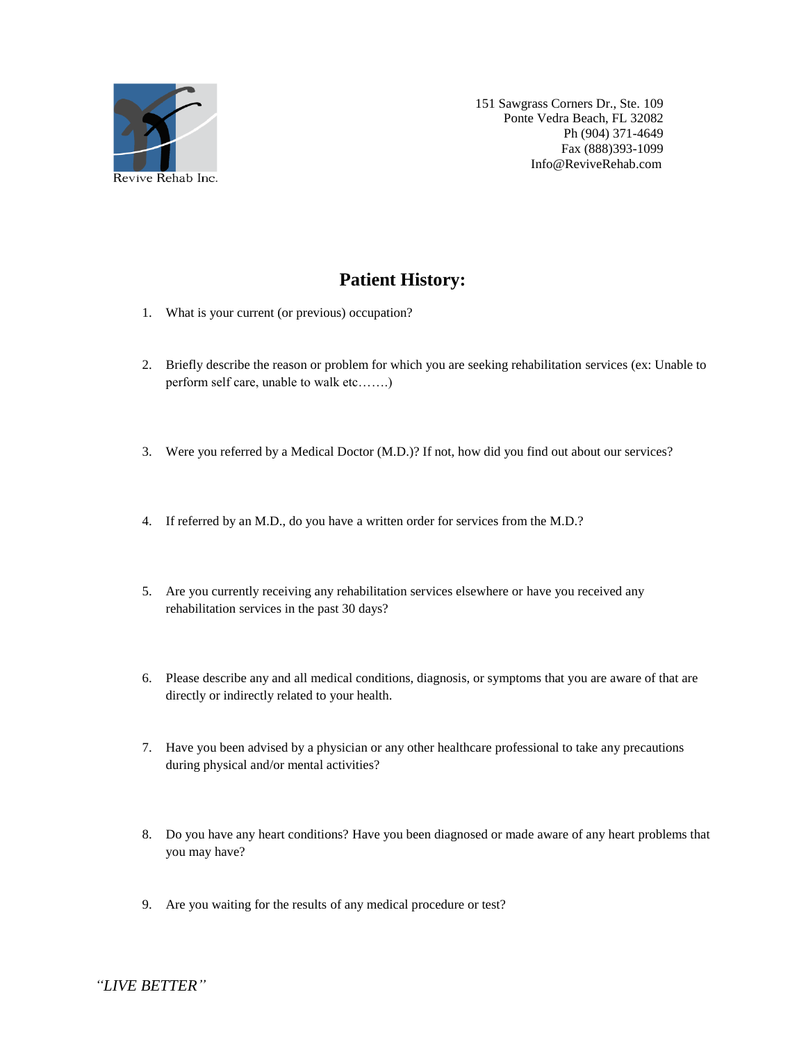

# **Patient History:**

- 1. What is your current (or previous) occupation?
- 2. Briefly describe the reason or problem for which you are seeking rehabilitation services (ex: Unable to perform self care, unable to walk etc…….)
- 3. Were you referred by a Medical Doctor (M.D.)? If not, how did you find out about our services?
- 4. If referred by an M.D., do you have a written order for services from the M.D.?
- 5. Are you currently receiving any rehabilitation services elsewhere or have you received any rehabilitation services in the past 30 days?
- 6. Please describe any and all medical conditions, diagnosis, or symptoms that you are aware of that are directly or indirectly related to your health.
- 7. Have you been advised by a physician or any other healthcare professional to take any precautions during physical and/or mental activities?
- 8. Do you have any heart conditions? Have you been diagnosed or made aware of any heart problems that you may have?
- 9. Are you waiting for the results of any medical procedure or test?

*"LIVE BETTER"*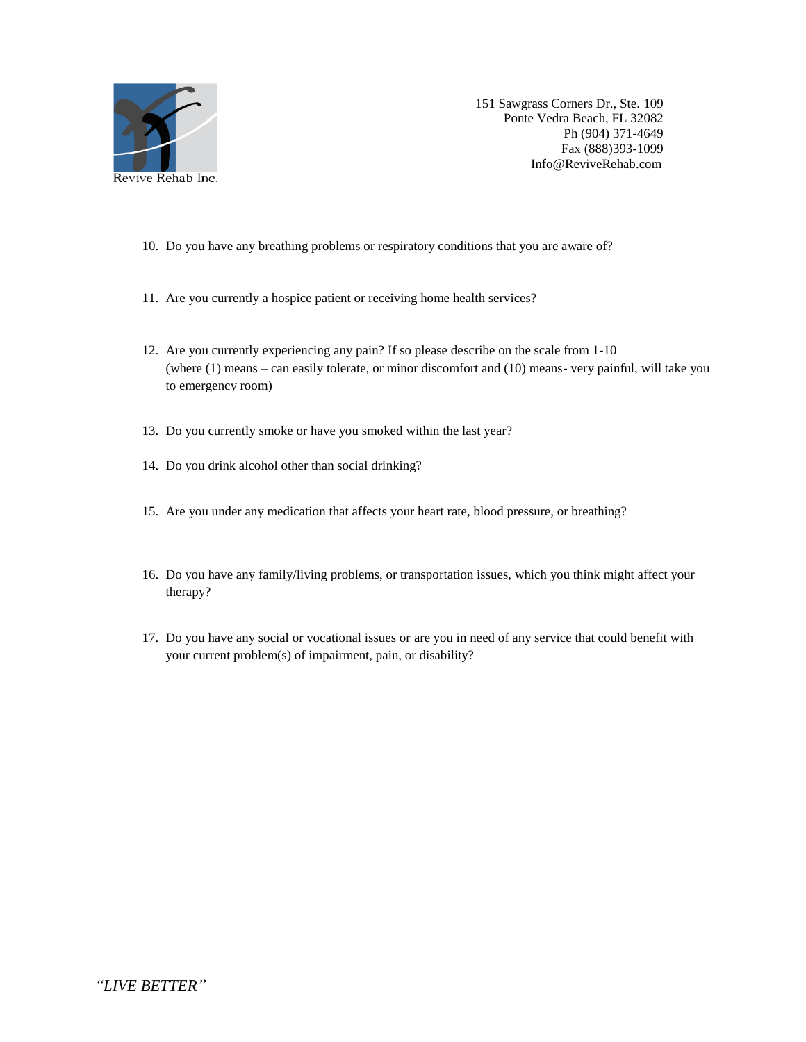

- 10. Do you have any breathing problems or respiratory conditions that you are aware of?
- 11. Are you currently a hospice patient or receiving home health services?
- 12. Are you currently experiencing any pain? If so please describe on the scale from 1-10 (where (1) means – can easily tolerate, or minor discomfort and (10) means- very painful, will take you to emergency room)
- 13. Do you currently smoke or have you smoked within the last year?
- 14. Do you drink alcohol other than social drinking?
- 15. Are you under any medication that affects your heart rate, blood pressure, or breathing?
- 16. Do you have any family/living problems, or transportation issues, which you think might affect your therapy?
- 17. Do you have any social or vocational issues or are you in need of any service that could benefit with your current problem(s) of impairment, pain, or disability?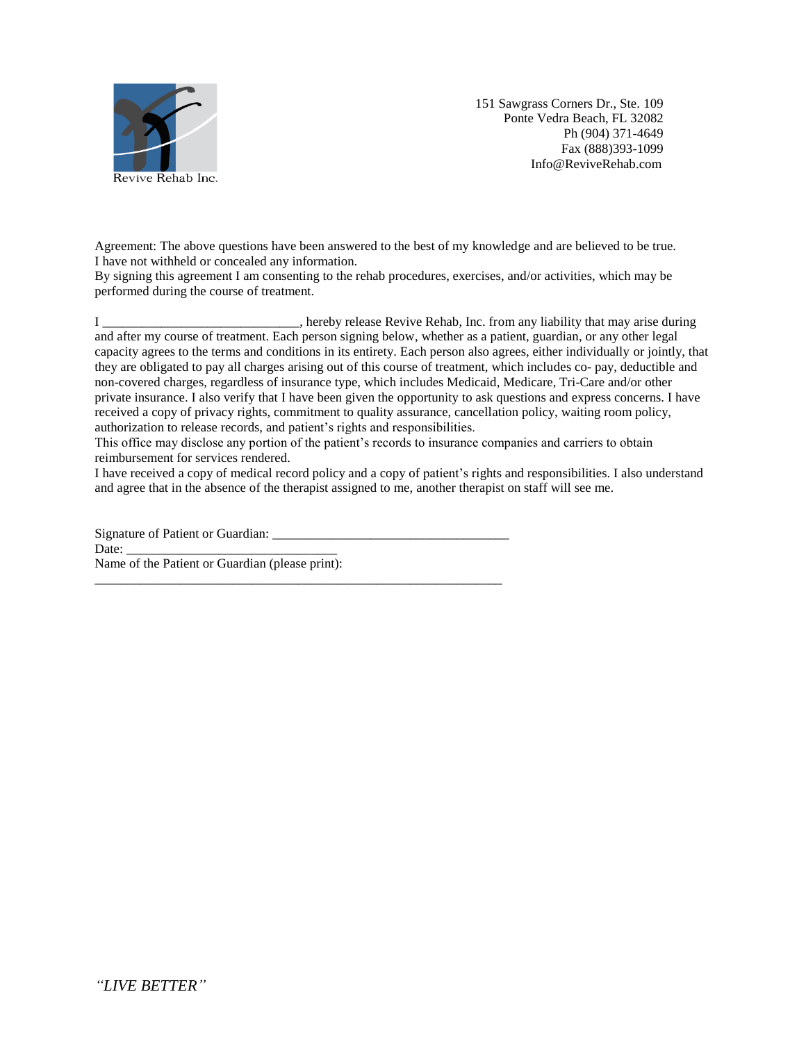

Agreement: The above questions have been answered to the best of my knowledge and are believed to be true. I have not withheld or concealed any information.

By signing this agreement I am consenting to the rehab procedures, exercises, and/or activities, which may be performed during the course of treatment.

I \_\_\_\_\_\_\_\_\_\_\_\_\_\_\_\_\_\_\_\_\_\_\_\_\_\_\_\_\_\_, hereby release Revive Rehab, Inc. from any liability that may arise during and after my course of treatment. Each person signing below, whether as a patient, guardian, or any other legal capacity agrees to the terms and conditions in its entirety. Each person also agrees, either individually or jointly, that they are obligated to pay all charges arising out of this course of treatment, which includes co- pay, deductible and non-covered charges, regardless of insurance type, which includes Medicaid, Medicare, Tri-Care and/or other private insurance. I also verify that I have been given the opportunity to ask questions and express concerns. I have received a copy of privacy rights, commitment to quality assurance, cancellation policy, waiting room policy, authorization to release records, and patient's rights and responsibilities.

This office may disclose any portion of the patient's records to insurance companies and carriers to obtain reimbursement for services rendered.

I have received a copy of medical record policy and a copy of patient's rights and responsibilities. I also understand and agree that in the absence of the therapist assigned to me, another therapist on staff will see me.

Signature of Patient or Guardian: \_\_\_\_\_\_\_\_\_\_\_\_\_\_\_\_\_\_\_\_\_\_\_\_\_\_\_\_\_\_\_\_\_\_\_\_ Date: Name of the Patient or Guardian (please print):

\_\_\_\_\_\_\_\_\_\_\_\_\_\_\_\_\_\_\_\_\_\_\_\_\_\_\_\_\_\_\_\_\_\_\_\_\_\_\_\_\_\_\_\_\_\_\_\_\_\_\_\_\_\_\_\_\_\_\_\_\_\_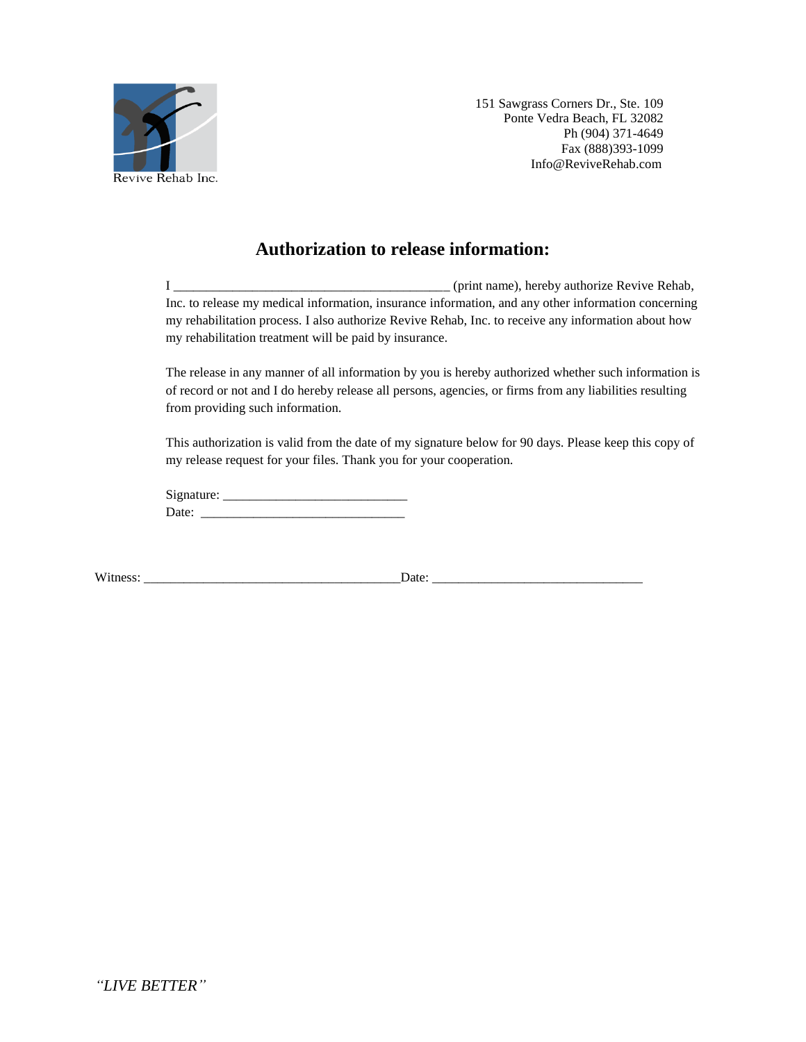

### **Authorization to release information:**

I \_\_\_\_\_\_\_\_\_\_\_\_\_\_\_\_\_\_\_\_\_\_\_\_\_\_\_\_\_\_\_\_\_\_\_\_\_\_\_\_\_\_ (print name), hereby authorize Revive Rehab, Inc. to release my medical information, insurance information, and any other information concerning my rehabilitation process. I also authorize Revive Rehab, Inc. to receive any information about how my rehabilitation treatment will be paid by insurance.

The release in any manner of all information by you is hereby authorized whether such information is of record or not and I do hereby release all persons, agencies, or firms from any liabilities resulting from providing such information.

This authorization is valid from the date of my signature below for 90 days. Please keep this copy of my release request for your files. Thank you for your cooperation.

Signature: \_\_\_\_\_\_\_\_\_\_\_\_\_\_\_\_\_\_\_\_\_\_\_\_\_\_\_\_ Date: \_\_\_\_\_\_\_\_\_\_\_\_\_\_\_\_\_\_\_\_\_\_\_\_\_\_\_\_\_\_\_

Witness: \_\_\_\_\_\_\_\_\_\_\_\_\_\_\_\_\_\_\_\_\_\_\_\_\_\_\_\_\_\_\_\_\_\_\_\_\_\_\_Date: \_\_\_\_\_\_\_\_\_\_\_\_\_\_\_\_\_\_\_\_\_\_\_\_\_\_\_\_\_\_\_\_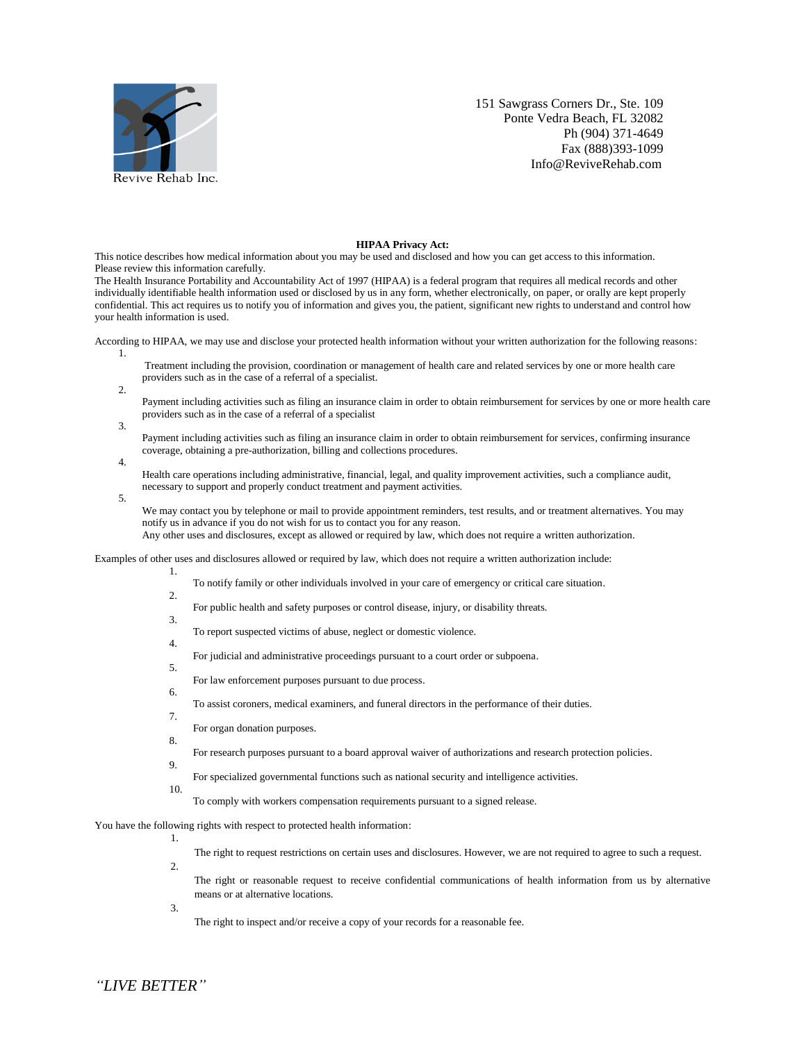

#### **HIPAA Privacy Act:**

This notice describes how medical information about you may be used and disclosed and how you can get access to this information. Please review this information carefully.

The Health Insurance Portability and Accountability Act of 1997 (HIPAA) is a federal program that requires all medical records and other individually identifiable health information used or disclosed by us in any form, whether electronically, on paper, or orally are kept properly confidential. This act requires us to notify you of information and gives you, the patient, significant new rights to understand and control how your health information is used.

According to HIPAA, we may use and disclose your protected health information without your written authorization for the following reasons:

- $1.$ Treatment including the provision, coordination or management of health care and related services by one or more health care providers such as in the case of a referral of a specialist.
- 2.
	- Payment including activities such as filing an insurance claim in order to obtain reimbursement for services by one or more health care providers such as in the case of a referral of a specialist
- 3.

4.

5.

Payment including activities such as filing an insurance claim in order to obtain reimbursement for services, confirming insurance coverage, obtaining a pre-authorization, billing and collections procedures.

- Health care operations including administrative, financial, legal, and quality improvement activities, such a compliance audit, necessary to support and properly conduct treatment and payment activities.
	- We may contact you by telephone or mail to provide appointment reminders, test results, and or treatment alternatives. You may notify us in advance if you do not wish for us to contact you for any reason. Any other uses and disclosures, except as allowed or required by law, which does not require a written authorization.

Examples of other uses and disclosures allowed or required by law, which does not require a written authorization include:

- To notify family or other individuals involved in your care of emergency or critical care situation.
- 2.

1.

- For public health and safety purposes or control disease, injury, or disability threats.
- 3.
	- To report suspected victims of abuse, neglect or domestic violence.
- For judicial and administrative proceedings pursuant to a court order or subpoena.
- 5.

4.

- For law enforcement purposes pursuant to due process.
- 6. 7.
	- To assist coroners, medical examiners, and funeral directors in the performance of their duties.
	- For organ donation purposes.
- 8.
- For research purposes pursuant to a board approval waiver of authorizations and research protection policies.
- 9.
- For specialized governmental functions such as national security and intelligence activities.
- 10.
	- To comply with workers compensation requirements pursuant to a signed release.

You have the following rights with respect to protected health information: 1.

The right to request restrictions on certain uses and disclosures. However, we are not required to agree to such a request.

- $\mathcal{L}$ 
	- The right or reasonable request to receive confidential communications of health information from us by alternative means or at alternative locations.

3.

The right to inspect and/or receive a copy of your records for a reasonable fee.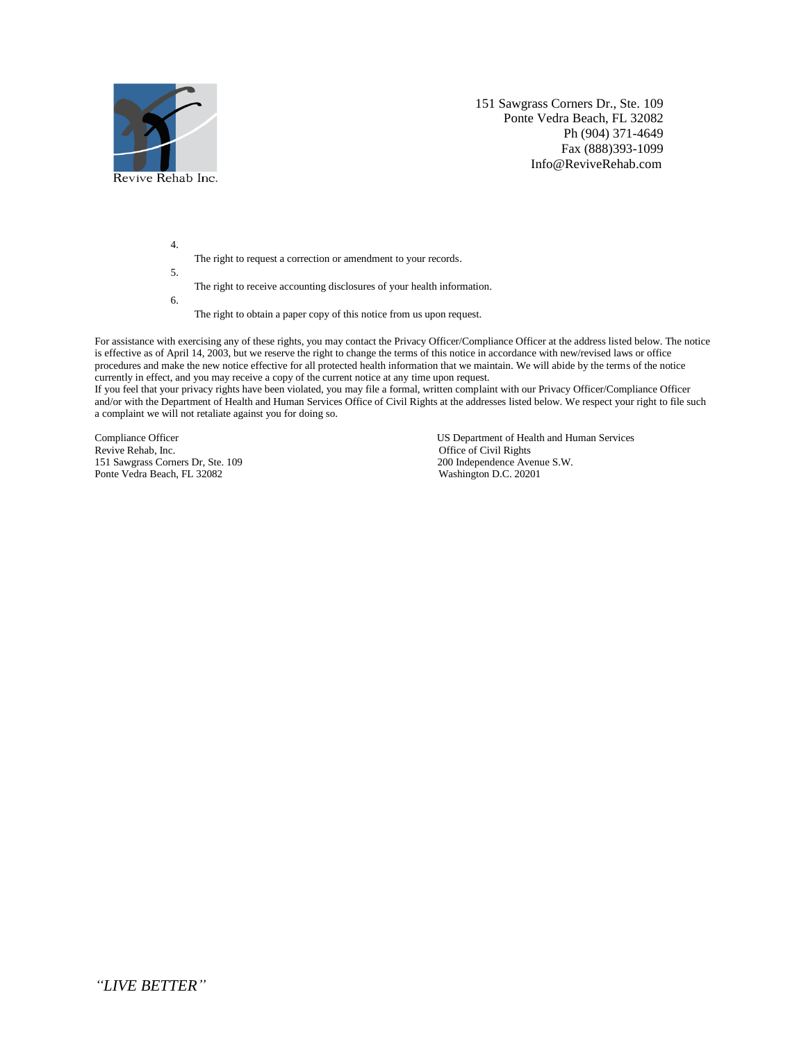

4.

- The right to request a correction or amendment to your records.
- 5.
	- The right to receive accounting disclosures of your health information.
- 6.
	- The right to obtain a paper copy of this notice from us upon request.

For assistance with exercising any of these rights, you may contact the Privacy Officer/Compliance Officer at the address listed below. The notice is effective as of April 14, 2003, but we reserve the right to change the terms of this notice in accordance with new/revised laws or office procedures and make the new notice effective for all protected health information that we maintain. We will abide by the terms of the notice currently in effect, and you may receive a copy of the current notice at any time upon request.

If you feel that your privacy rights have been violated, you may file a formal, written complaint with our Privacy Officer/Compliance Officer and/or with the Department of Health and Human Services Office of Civil Rights at the addresses listed below. We respect your right to file such a complaint we will not retaliate against you for doing so.

151 Sawgrass Corners Dr, Ste. 109 200 Independence Avenue S. 2002 200 Independence Avenue S. 20201 Ponte Vedra Beach, FL 32082

Compliance Officer US Department of Health and Human Services<br>
Revive Rehab, Inc.<br>
Office of Civil Rights Office of Civil Rights<br>200 Independence Avenue S.W.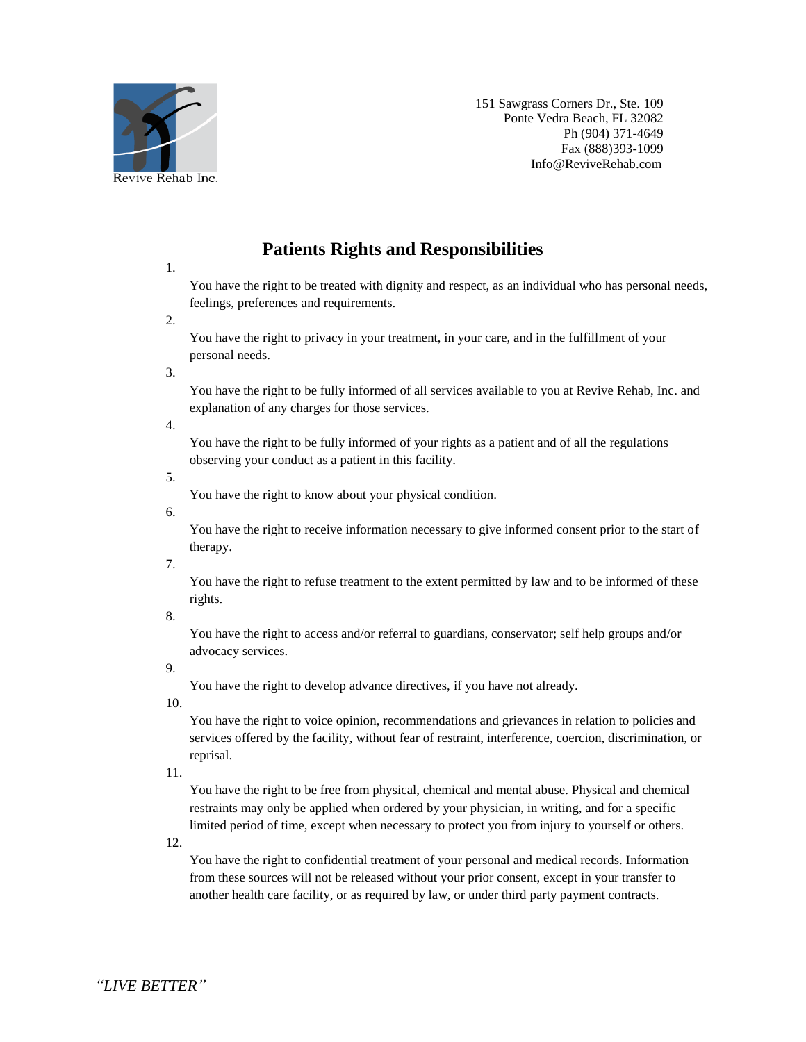

### **Patients Rights and Responsibilities**

1.

You have the right to be treated with dignity and respect, as an individual who has personal needs, feelings, preferences and requirements.

2.

You have the right to privacy in your treatment, in your care, and in the fulfillment of your personal needs.

3.

You have the right to be fully informed of all services available to you at Revive Rehab, Inc. and explanation of any charges for those services.

4.

You have the right to be fully informed of your rights as a patient and of all the regulations observing your conduct as a patient in this facility.

5.

You have the right to know about your physical condition.

6.

You have the right to receive information necessary to give informed consent prior to the start of therapy.

7.

You have the right to refuse treatment to the extent permitted by law and to be informed of these rights.

8.

You have the right to access and/or referral to guardians, conservator; self help groups and/or advocacy services.

9.

You have the right to develop advance directives, if you have not already.

10.

You have the right to voice opinion, recommendations and grievances in relation to policies and services offered by the facility, without fear of restraint, interference, coercion, discrimination, or reprisal.

11.

You have the right to be free from physical, chemical and mental abuse. Physical and chemical restraints may only be applied when ordered by your physician, in writing, and for a specific limited period of time, except when necessary to protect you from injury to yourself or others.

12.

You have the right to confidential treatment of your personal and medical records. Information from these sources will not be released without your prior consent, except in your transfer to another health care facility, or as required by law, or under third party payment contracts.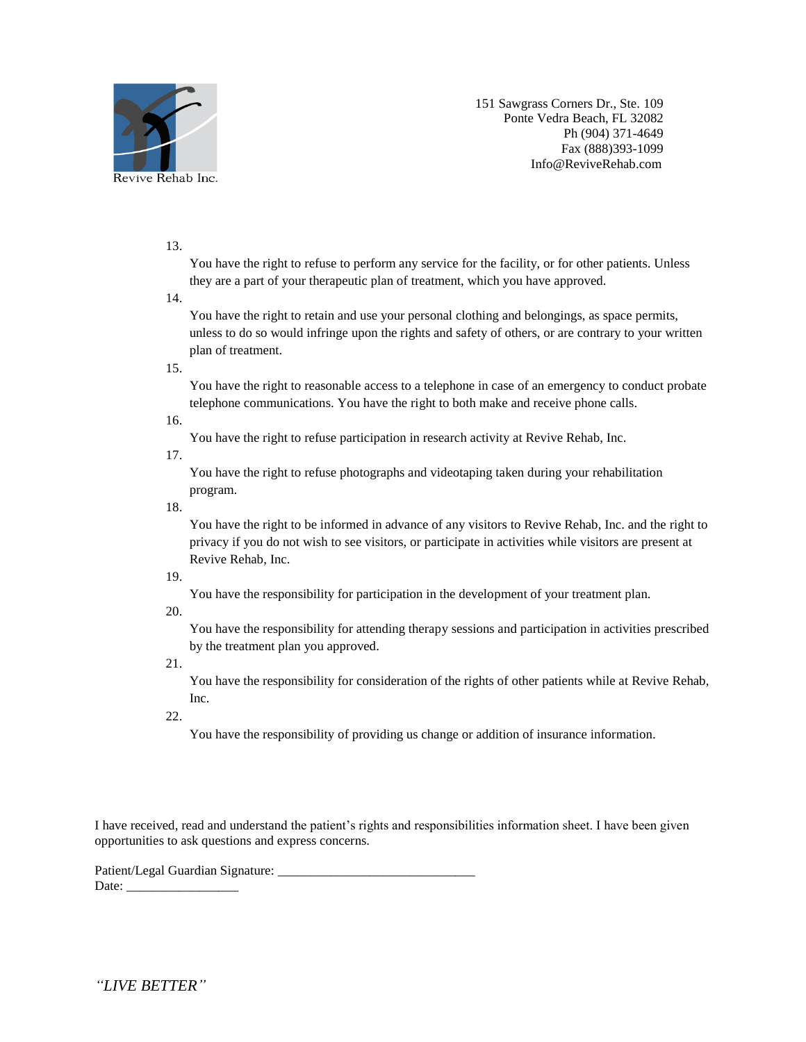

### 13.

You have the right to refuse to perform any service for the facility, or for other patients. Unless they are a part of your therapeutic plan of treatment, which you have approved.

14.

You have the right to retain and use your personal clothing and belongings, as space permits, unless to do so would infringe upon the rights and safety of others, or are contrary to your written plan of treatment.

#### 15.

You have the right to reasonable access to a telephone in case of an emergency to conduct probate telephone communications. You have the right to both make and receive phone calls.

16.

You have the right to refuse participation in research activity at Revive Rehab, Inc.

17.

You have the right to refuse photographs and videotaping taken during your rehabilitation program.

18.

You have the right to be informed in advance of any visitors to Revive Rehab, Inc. and the right to privacy if you do not wish to see visitors, or participate in activities while visitors are present at Revive Rehab, Inc.

19.

You have the responsibility for participation in the development of your treatment plan.

20.

You have the responsibility for attending therapy sessions and participation in activities prescribed by the treatment plan you approved.

21.

You have the responsibility for consideration of the rights of other patients while at Revive Rehab, Inc.

22.

You have the responsibility of providing us change or addition of insurance information.

I have received, read and understand the patient's rights and responsibilities information sheet. I have been given opportunities to ask questions and express concerns.

Patient/Legal Guardian Signature: Date: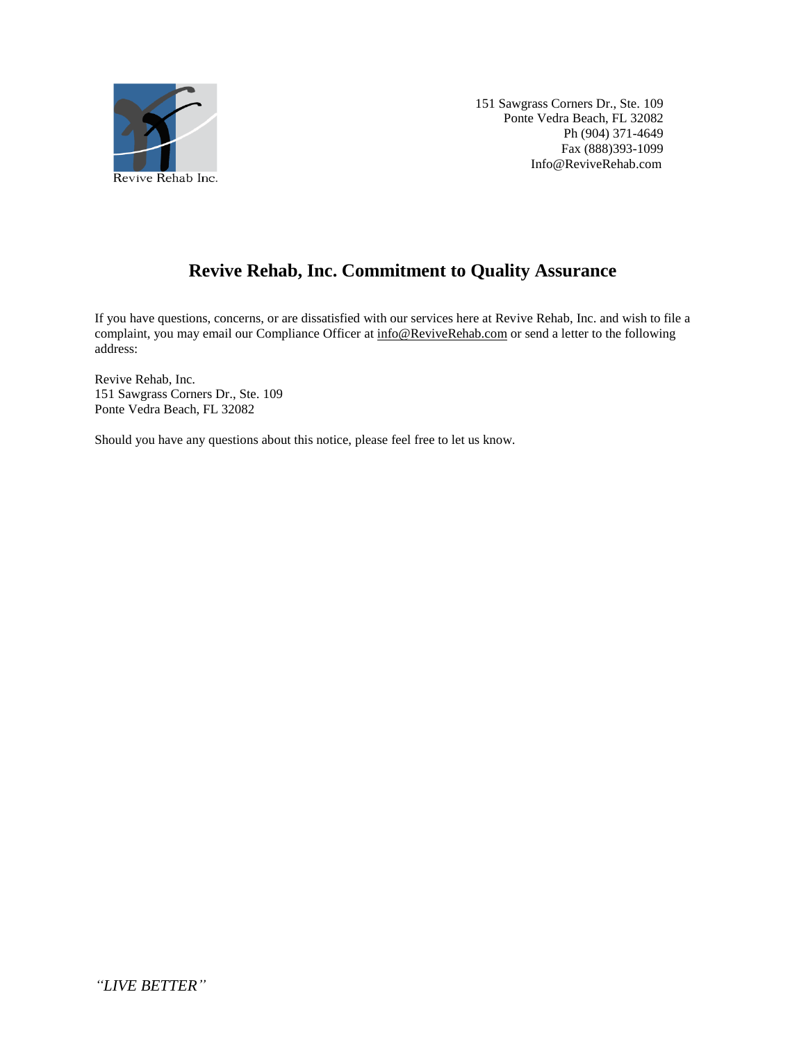

# **Revive Rehab, Inc. Commitment to Quality Assurance**

If you have questions, concerns, or are dissatisfied with our services here at Revive Rehab, Inc. and wish to file a complaint, you may email our Compliance Officer a[t info@ReviveRehab.com](mailto:info@ReviveRehab.com) or send a letter to the following address:

Revive Rehab, Inc. 151 Sawgrass Corners Dr., Ste. 109 Ponte Vedra Beach, FL 32082

Should you have any questions about this notice, please feel free to let us know.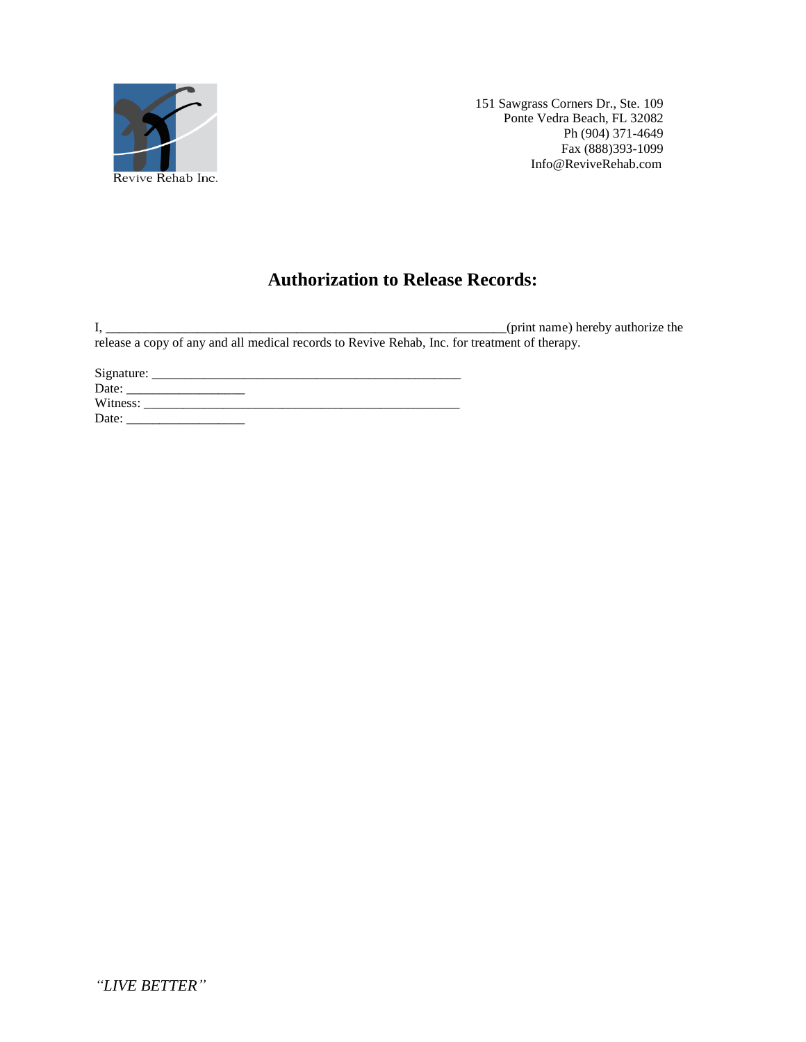

# **Authorization to Release Records:**

I, \_\_\_\_\_\_\_\_\_\_\_\_\_\_\_\_\_\_\_\_\_\_\_\_\_\_\_\_\_\_\_\_\_\_\_\_\_\_\_\_\_\_\_\_\_\_\_\_\_\_\_\_\_\_\_\_\_\_\_\_\_(print name) hereby authorize the release a copy of any and all medical records to Revive Rehab, Inc. for treatment of therapy.

Signature: \_\_\_\_\_\_\_\_\_\_\_\_\_\_\_\_\_\_\_\_\_\_\_\_\_\_\_\_\_\_\_\_\_\_\_\_\_\_\_\_\_\_\_\_\_\_\_ Date: \_\_\_\_\_\_\_\_\_\_\_\_\_\_\_\_\_\_ Witness: \_\_\_\_\_\_\_\_\_\_\_\_\_\_\_\_\_\_\_\_\_\_\_\_\_\_\_\_\_\_\_\_\_\_\_\_\_\_\_\_\_\_\_\_\_\_\_\_ Date: \_\_\_\_\_\_\_\_\_\_\_\_\_\_\_\_\_\_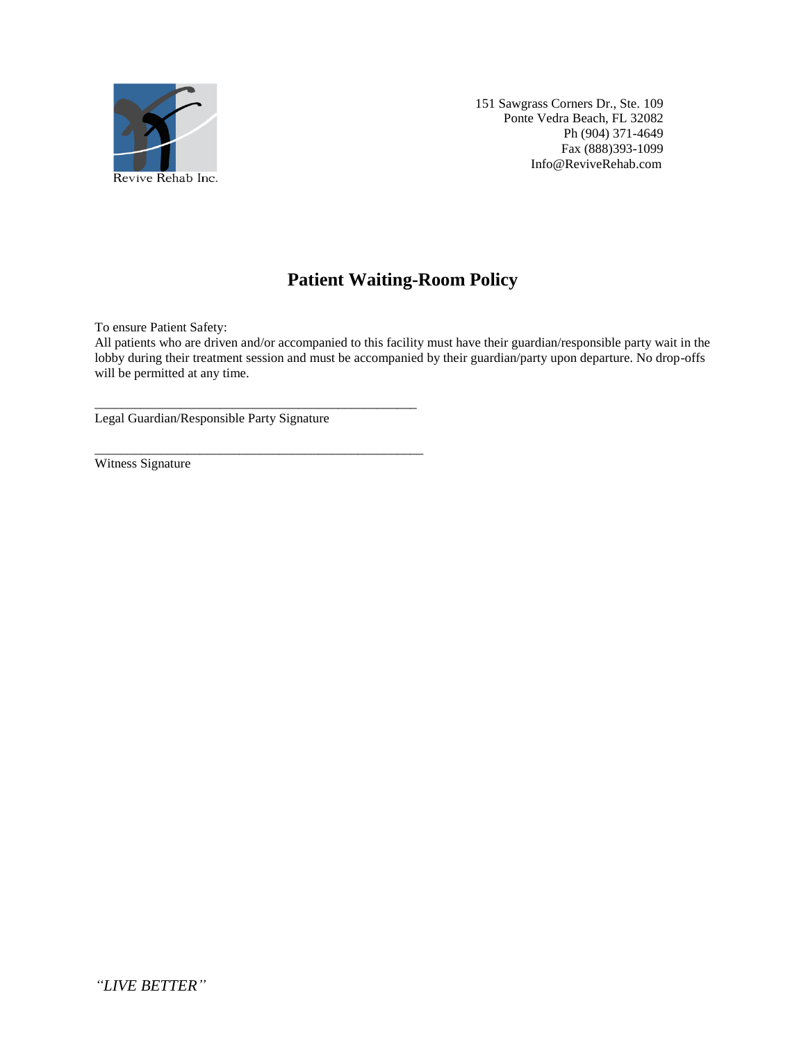

 $\overline{\phantom{a}}$  , and the contract of the contract of the contract of the contract of the contract of the contract of the contract of the contract of the contract of the contract of the contract of the contract of the contrac

\_\_\_\_\_\_\_\_\_\_\_\_\_\_\_\_\_\_\_\_\_\_\_\_\_\_\_\_\_\_\_\_\_\_\_\_\_\_\_\_\_\_\_\_\_\_\_\_\_\_ \_\_\_\_\_\_\_\_\_\_\_\_\_\_\_\_\_\_\_\_\_\_\_

# **Patient Waiting-Room Policy**

To ensure Patient Safety:

All patients who are driven and/or accompanied to this facility must have their guardian/responsible party wait in the lobby during their treatment session and must be accompanied by their guardian/party upon departure. No drop-offs will be permitted at any time.

Legal Guardian/Responsible Party Signature

Witness Signature